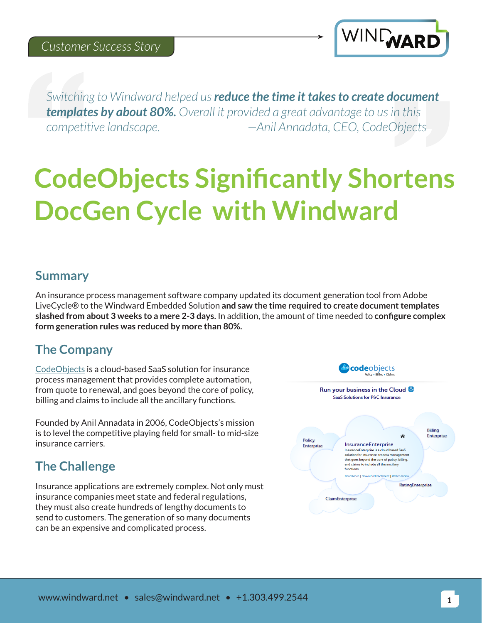

*Switching to Windward helped us reduce the time it takes to create document templates by about 80%. Overall it provided a great advantage to us in this competitive landscape. —Anil Annadata, CEO, CodeObjects*

# **CodeObjects Significantly Shortens DocGen Cycle with Windward**

#### **Summary**

An insurance process management software company updated its document generation tool from Adobe LiveCycle® to the Windward Embedded Solution **and saw the time required to create document templates slashed from about 3 weeks to a mere 2-3 days.** In addition, the amount of time needed to **configure complex form generation rules was reduced by more than 80%.**

## **The Company**

[CodeObjects](http://www.codeobjects.com/) is a cloud-based SaaS solution for insurance process management that provides complete automation, from quote to renewal, and goes beyond the core of policy, billing and claims to include all the ancillary functions.

Founded by Anil Annadata in 2006, CodeObjects's mission is to level the competitive playing field for small- to mid-size insurance carriers.

# **The Challenge**

Insurance applications are extremely complex. Not only must insurance companies meet state and federal regulations, they must also create hundreds of lengthy documents to send to customers. The generation of so many documents can be an expensive and complicated process.

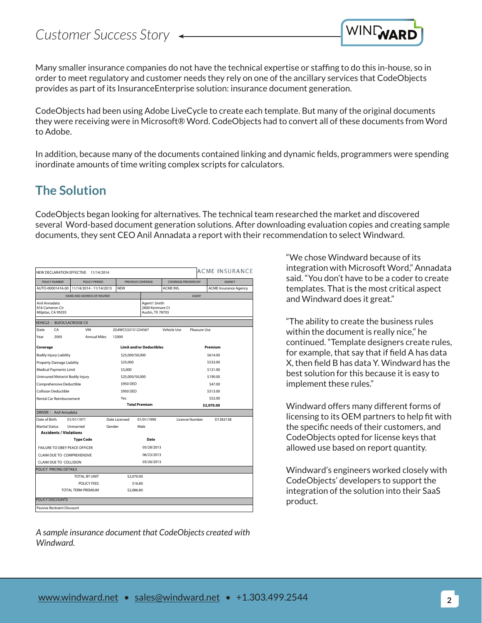

Many smaller insurance companies do not have the technical expertise or staffing to do this in-house, so in order to meet regulatory and customer needs they rely on one of the ancillary services that CodeObjects provides as part of its InsuranceEnterprise solution: insurance document generation.

CodeObjects had been using Adobe LiveCycle to create each template. But many of the original documents they were receiving were in Microsoft® Word. CodeObjects had to convert all of these documents from Word to Adobe.

In addition, because many of the documents contained linking and dynamic fields, programmers were spending inordinate amounts of time writing complex scripts for calculators.

## **The Solution**

CodeObjects began looking for alternatives. The technical team researched the market and discovered several Word-based document generation solutions. After downloading evaluation copies and creating sample documents, they sent CEO Anil Annadata a report with their recommendation to select Windward.

| ACME INSURANCE<br>NEW DECLARATION EFFECTIVE 11/14/2014 |                              |                                  |                                                     |                                 |                             |                |                              |  |
|--------------------------------------------------------|------------------------------|----------------------------------|-----------------------------------------------------|---------------------------------|-----------------------------|----------------|------------------------------|--|
| POLICY NUMBER<br><b>POLICY PERIOD</b>                  |                              | PREVIOUS COVERAGE                |                                                     |                                 | <b>COVERAGE PROVIDED BY</b> |                | <b>AGENCY</b>                |  |
| AUTO-00001416-00<br>11/14/2014 - 11/14/2015            |                              |                                  | <b>NEW</b>                                          |                                 | ACME INS.                   |                | <b>ACME Insurance Agency</b> |  |
| NAME AND ADDRESS OF INSURED                            |                              |                                  |                                                     |                                 |                             | <b>AGENT</b>   |                              |  |
| Anil Annadata<br>816 Cameron Cir<br>Milpitas, CA 95035 |                              |                                  | Agent1 Smith<br>2600 Kenmore Ct<br>Austin, TX 78703 |                                 |                             |                |                              |  |
| VEHICLE: BUICK/LACROSSE CX                             |                              |                                  |                                                     |                                 |                             |                |                              |  |
| State<br>CA                                            | <b>VIN</b>                   | 2G4WC532151234567<br>Vehicle Use |                                                     |                                 |                             | Pleasure Use   |                              |  |
| 2005<br>Year                                           | <b>Annual Miles</b><br>12000 |                                  |                                                     |                                 |                             |                |                              |  |
| Coverage                                               |                              |                                  |                                                     | <b>Limit and/or Deductibles</b> |                             |                | Premium                      |  |
| <b>Bodily Injury Liability</b>                         |                              |                                  | \$25,000/50,000                                     |                                 |                             | \$614.00       |                              |  |
| <b>Property Damage Liability</b>                       |                              |                                  | \$25,000                                            |                                 |                             | \$533.00       |                              |  |
| <b>Medical Payments Limit</b>                          |                              |                                  | \$3,000                                             |                                 |                             | \$121.00       |                              |  |
| Uninsured Motorist Bodily Injury                       |                              |                                  | \$25,000/50,000                                     |                                 |                             | \$190,00       |                              |  |
| Comprehensive Deductible                               |                              |                                  | \$950 DED                                           |                                 |                             | \$47.00        |                              |  |
| <b>Collision Deductible</b>                            |                              |                                  | \$950 DED                                           |                                 |                             | \$513.00       |                              |  |
| <b>Rental Car Reimbursement</b>                        |                              | Yes                              |                                                     |                                 | \$52.00                     |                |                              |  |
|                                                        |                              | <b>Total Premium</b>             |                                                     |                                 | \$2,070.00                  |                |                              |  |
| DRIVER: Anil Annadata                                  |                              |                                  |                                                     |                                 |                             |                |                              |  |
| Date of Birth                                          | 01/01/1971                   | Date Licensed                    |                                                     | 01/01/1990                      |                             | License Number | D1383138                     |  |
| <b>Marital Status</b>                                  | Unmarried                    | Gender                           |                                                     | Male                            |                             |                |                              |  |
| <b>Accidents / Violations</b>                          |                              |                                  |                                                     |                                 |                             |                |                              |  |
| <b>Type Code</b>                                       |                              |                                  | Date                                                |                                 |                             |                |                              |  |
| <b>FAILURE TO OBEY PEACE OFFICER</b>                   |                              |                                  | 05/28/2013                                          |                                 |                             |                |                              |  |
| CLAIM DUE TO COMPREHENSIVE                             |                              |                                  | 06/23/2013                                          |                                 |                             |                |                              |  |
| CLAIM DUE TO COLLISION                                 |                              |                                  | 03/26/2013                                          |                                 |                             |                |                              |  |
| POLICY PRICING DETAILS                                 |                              |                                  |                                                     |                                 |                             |                |                              |  |
| TOTAL BY UNIT                                          |                              |                                  | \$2,070.00                                          |                                 |                             |                |                              |  |
| POLICY FFFS                                            |                              |                                  | \$16.80                                             |                                 |                             |                |                              |  |
| <b>TOTAL TERM PREMIUM</b>                              |                              | \$2,086.80                       |                                                     |                                 |                             |                |                              |  |
| <b>POLICY DISCOUNTS</b>                                |                              |                                  |                                                     |                                 |                             |                |                              |  |
| <b>Passive Restraint Discount</b>                      |                              |                                  |                                                     |                                 |                             |                |                              |  |

*A sample insurance document that CodeObjects created with Windward.*

"We chose Windward because of its integration with Microsoft Word," Annadata said. "You don't have to be a coder to create templates. That is the most critical aspect and Windward does it great."

"The ability to create the business rules within the document is really nice," he continued. "Template designers create rules, for example, that say that if field A has data X, then field B has data Y. Windward has the best solution for this because it is easy to implement these rules."

Windward offers many different forms of licensing to its OEM partners to help fit with the specific needs of their customers, and CodeObjects opted for license keys that allowed use based on report quantity.

Windward's engineers worked closely with CodeObjects' developers to support the integration of the solution into their SaaS product.